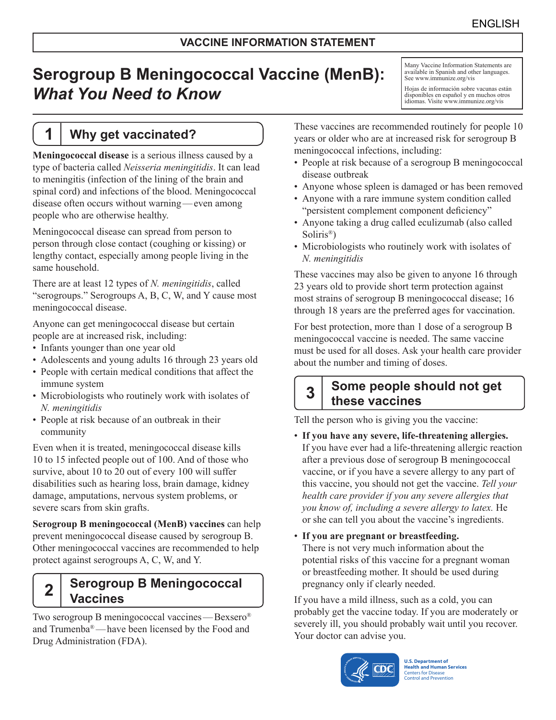# **Serogroup B Meningococcal Vaccine (MenB):** *What You Need to Know*

## **1 Why get vaccinated?**

**Meningococcal disease** is a serious illness caused by a type of bacteria called *Neisseria meningitidis*. It can lead to meningitis (infection of the lining of the brain and spinal cord) and infections of the blood. Meningococcal disease often occurs without warning—even among people who are otherwise healthy.

Meningococcal disease can spread from person to person through close contact (coughing or kissing) or lengthy contact, especially among people living in the same household.

There are at least 12 types of *N. meningitidis*, called "serogroups." Serogroups A, B, C, W, and Y cause most meningococcal disease.

Anyone can get meningococcal disease but certain people are at increased risk, including:

- Infants younger than one year old
- Adolescents and young adults 16 through 23 years old
- People with certain medical conditions that affect the immune system
- Microbiologists who routinely work with isolates of *N. meningitidis*
- People at risk because of an outbreak in their community

Even when it is treated, meningococcal disease kills 10 to 15 infected people out of 100. And of those who survive, about 10 to 20 out of every 100 will suffer disabilities such as hearing loss, brain damage, kidney damage, amputations, nervous system problems, or severe scars from skin grafts.

**Serogroup B meningococcal (MenB) vaccines** can help prevent meningococcal disease caused by serogroup B. Other meningococcal vaccines are recommended to help protect against serogroups A, C, W, and Y.

## **2 Serogroup B Meningococcal Vaccines**

Two serogroup B meningococcal vaccines—Bexsero® and Trumenba®—have been licensed by the Food and Drug Administration (FDA).

Many Vaccine Information Statements are available in Spanish and other languages. See [www.immunize.org/vis](http://www.immunize.org/vis)

Hojas de información sobre vacunas están disponibles en español y en muchos otros idiomas. Visite [www.immunize.org/vis](http://www.immunize.org/vis)

These vaccines are recommended routinely for people 10 years or older who are at increased risk for serogroup B meningococcal infections, including:

- People at risk because of a serogroup B meningococcal disease outbreak
- Anyone whose spleen is damaged or has been removed
- Anyone with a rare immune system condition called "persistent complement component deficiency"
- Anyone taking a drug called eculizumab (also called Soliris®)
- Microbiologists who routinely work with isolates of *N. meningitidis*

These vaccines may also be given to anyone 16 through 23 years old to provide short term protection against most strains of serogroup B meningococcal disease; 16 through 18 years are the preferred ages for vaccination.

For best protection, more than 1 dose of a serogroup B meningococcal vaccine is needed. The same vaccine must be used for all doses. Ask your health care provider about the number and timing of doses.

## **3 Some people should not get these vaccines**

Tell the person who is giving you the vaccine:

- **If you have any severe, life-threatening allergies.** If you have ever had a life-threatening allergic reaction after a previous dose of serogroup B meningococcal vaccine, or if you have a severe allergy to any part of this vaccine, you should not get the vaccine. *Tell your health care provider if you any severe allergies that you know of, including a severe allergy to latex.* He or she can tell you about the vaccine's ingredients.
- **If you are pregnant or breastfeeding.** There is not very much information about the potential risks of this vaccine for a pregnant woman or breastfeeding mother. It should be used during pregnancy only if clearly needed.

If you have a mild illness, such as a cold, you can probably get the vaccine today. If you are moderately or severely ill, you should probably wait until you recover. Your doctor can advise you.